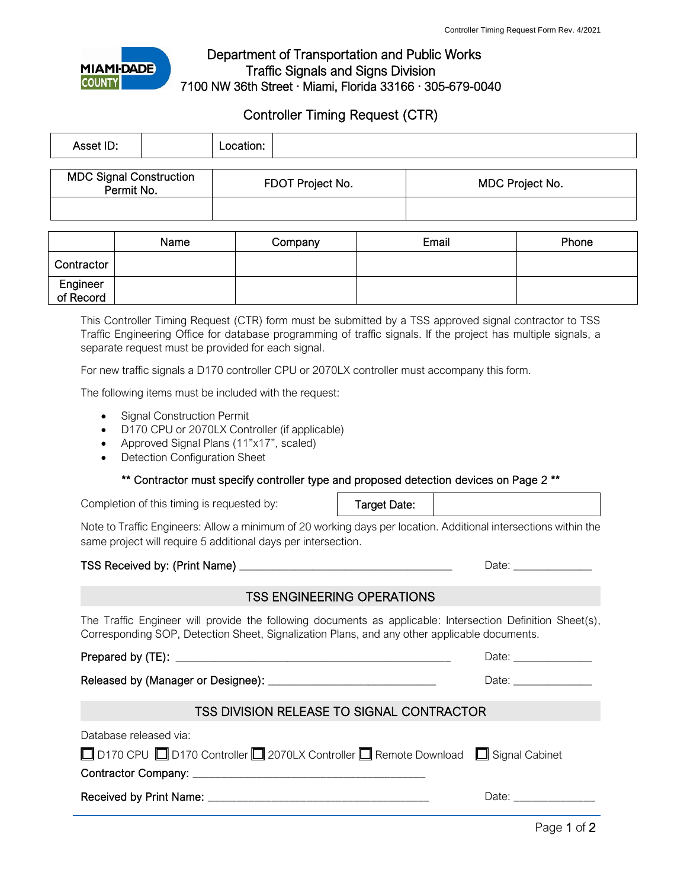

## Department of Transportation and Public Works Traffic Signals and Signs Division 7100 NW 36th Street · Miami, Florida 33166 · 305-679-0040

# Controller Timing Request (CTR)

| Asset ID:                                    |  | Location: |                  |                 |
|----------------------------------------------|--|-----------|------------------|-----------------|
| <b>MDC Signal Construction</b><br>Permit No. |  |           | FDOT Project No. | MDC Project No. |
|                                              |  |           |                  |                 |

|                       | Name | Company | Email | Phone |
|-----------------------|------|---------|-------|-------|
| Contractor            |      |         |       |       |
| Engineer<br>of Record |      |         |       |       |

This Controller Timing Request (CTR) form must be submitted by a TSS approved signal contractor to TSS Traffic Engineering Office for database programming of traffic signals. If the project has multiple signals, a separate request must be provided for each signal.

For new traffic signals a D170 controller CPU or 2070LX controller must accompany this form.

The following items must be included with the request:

- Signal Construction Permit
- D170 CPU or 2070LX Controller (if applicable)
- Approved Signal Plans (11"x17", scaled)
- Detection Configuration Sheet

\*\* Contractor must specify controller type and proposed detection devices on Page 2 \*\*

Completion of this timing is requested by:

Target Date:

Note to Traffic Engineers: Allow a minimum of 20 working days per location. Additional intersections within the same project will require 5 additional days per intersection.

### TSS Received by: (Print Name) \_\_\_\_\_\_\_\_\_\_\_\_\_\_\_\_\_\_\_\_\_\_\_\_\_\_\_\_\_\_\_\_\_\_\_\_\_\_ Date: \_\_\_\_\_\_\_\_\_\_\_\_\_\_

### TSS ENGINEERING OPERATIONS

The Traffic Engineer will provide the following documents as applicable: Intersection Definition Sheet(s), Corresponding SOP, Detection Sheet, Signalization Plans, and any other applicable documents.

Prepared by (TE): \_\_\_\_\_\_\_\_\_\_\_\_\_\_\_\_\_\_\_\_\_\_\_\_\_\_\_\_\_\_\_\_\_\_\_\_\_\_\_\_\_\_\_\_\_\_\_\_\_ Date: \_\_\_\_\_\_\_\_\_\_\_\_\_\_

Released by (Manager or Designee): \_\_\_\_\_\_\_\_\_\_\_\_\_\_\_\_\_\_\_\_\_\_\_\_\_\_\_\_\_\_ Date: \_\_\_\_\_\_\_\_\_\_\_\_\_\_

## TSS DIVISION RELEASE TO SIGNAL CONTRACTOR

| Database released via:                                                              |       |
|-------------------------------------------------------------------------------------|-------|
| □ D170 CPU □ D170 Controller □ 2070LX Controller □ Remote Download □ Signal Cabinet |       |
| Contractor Company: ______________________                                          |       |
| Received by Print Name: _________                                                   | Date: |